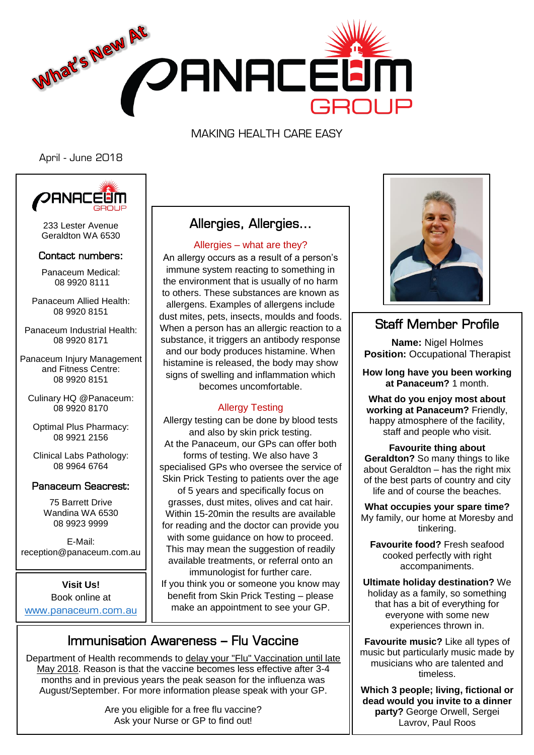

MAKING HEALTH CARE EASY

April - June 2018



233 Lester Avenue Geraldton WA 6530

#### Contact numbers:

Panaceum Medical: 08 9920 8111

Panaceum Allied Health: 08 9920 8151

Panaceum Industrial Health: 08 9920 8171

Panaceum Injury Management and Fitness Centre: 08 9920 8151

Culinary HQ @Panaceum: 08 9920 8170

Optimal Plus Pharmacy: 08 9921 2156

Clinical Labs Pathology: 08 9964 6764

#### Panaceum Seacrest:

75 Barrett Drive Wandina WA 6530 08 9923 9999

E-Mail: reception@panaceum.com.au

**Visit Us!**  Book online at <www.panaceum.com.au>

# Allergies, Allergies…

#### Allergies – what are they?

An allergy occurs as a result of a person's immune system reacting to something in the environment that is usually of no harm to others. These substances are known as allergens. Examples of allergens include dust mites, pets, insects, moulds and foods. When a person has an allergic reaction to a substance, it triggers an antibody response and our body produces histamine. When histamine is released, the body may show signs of swelling and inflammation which becomes uncomfortable.

#### Allergy Testing

Allergy testing can be done by blood tests and also by skin prick testing. At the Panaceum, our GPs can offer both forms of testing. We also have 3 specialised GPs who oversee the service of Skin Prick Testing to patients over the age of 5 years and specifically focus on grasses, dust mites, olives and cat hair. Within 15-20min the results are available for reading and the doctor can provide you with some guidance on how to proceed. This may mean the suggestion of readily available treatments, or referral onto an immunologist for further care.

If you think you or someone you know may benefit from Skin Prick Testing – please make an appointment to see your GP.



 $\overline{a}$ 

Department of Health recommends to delay your "Flu" Vaccination until late May 2018. Reason is that the vaccine becomes less effective after 3-4 months and in previous years the peak season for the influenza was August/September. For more information please speak with your GP.

> Are you eligible for a free flu vaccine? Ask your Nurse or GP to find out!



# Staff Member Profile

**Name:** Nigel Holmes **Position:** Occupational Therapist

**How long have you been working at Panaceum?** 1 month.

**What do you enjoy most about working at Panaceum?** Friendly, happy atmosphere of the facility, staff and people who visit.

**Favourite thing about Geraldton?** So many things to like about Geraldton – has the right mix of the best parts of country and city life and of course the beaches.

**What occupies your spare time?** My family, our home at Moresby and tinkering.

**Favourite food?** Fresh seafood cooked perfectly with right accompaniments.

**Ultimate holiday destination?** We holiday as a family, so something that has a bit of everything for everyone with some new experiences thrown in.

**Favourite music?** Like all types of music but particularly music made by musicians who are talented and timeless.

**Which 3 people; living, fictional or dead would you invite to a dinner party?** George Orwell, Sergei Lavrov, Paul Roos